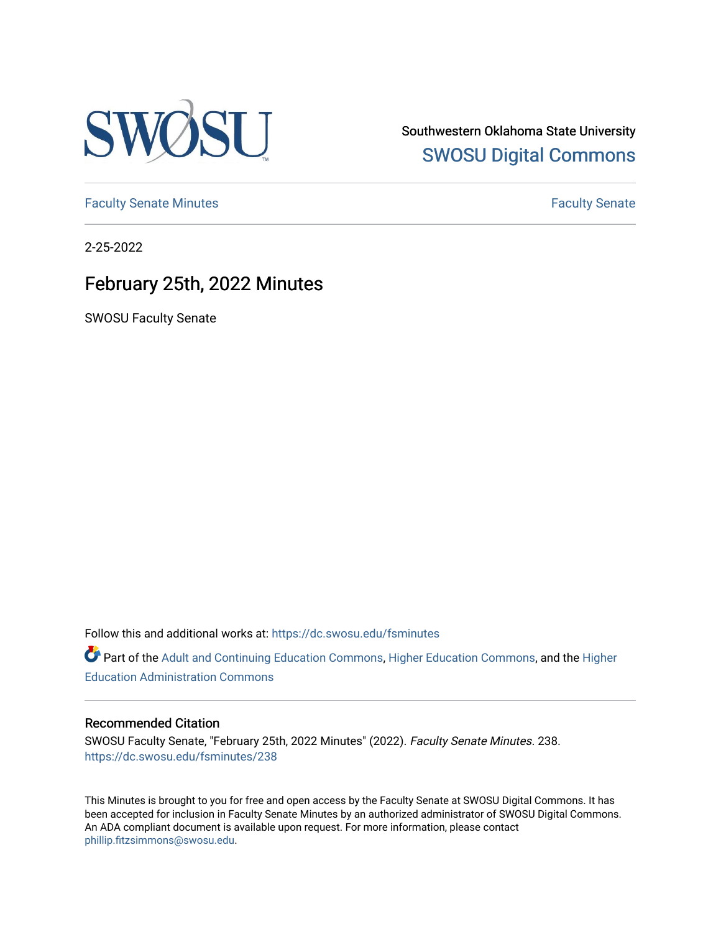

Southwestern Oklahoma State University [SWOSU Digital Commons](https://dc.swosu.edu/) 

[Faculty Senate Minutes](https://dc.swosu.edu/fsminutes) **Faculty** Senate Minutes

2-25-2022

## February 25th, 2022 Minutes

SWOSU Faculty Senate

Follow this and additional works at: [https://dc.swosu.edu/fsminutes](https://dc.swosu.edu/fsminutes?utm_source=dc.swosu.edu%2Ffsminutes%2F238&utm_medium=PDF&utm_campaign=PDFCoverPages) 

Part of the [Adult and Continuing Education Commons,](http://network.bepress.com/hgg/discipline/1375?utm_source=dc.swosu.edu%2Ffsminutes%2F238&utm_medium=PDF&utm_campaign=PDFCoverPages) [Higher Education Commons,](http://network.bepress.com/hgg/discipline/1245?utm_source=dc.swosu.edu%2Ffsminutes%2F238&utm_medium=PDF&utm_campaign=PDFCoverPages) and the [Higher](http://network.bepress.com/hgg/discipline/791?utm_source=dc.swosu.edu%2Ffsminutes%2F238&utm_medium=PDF&utm_campaign=PDFCoverPages) [Education Administration Commons](http://network.bepress.com/hgg/discipline/791?utm_source=dc.swosu.edu%2Ffsminutes%2F238&utm_medium=PDF&utm_campaign=PDFCoverPages) 

#### Recommended Citation

SWOSU Faculty Senate, "February 25th, 2022 Minutes" (2022). Faculty Senate Minutes. 238. [https://dc.swosu.edu/fsminutes/238](https://dc.swosu.edu/fsminutes/238?utm_source=dc.swosu.edu%2Ffsminutes%2F238&utm_medium=PDF&utm_campaign=PDFCoverPages) 

This Minutes is brought to you for free and open access by the Faculty Senate at SWOSU Digital Commons. It has been accepted for inclusion in Faculty Senate Minutes by an authorized administrator of SWOSU Digital Commons. An ADA compliant document is available upon request. For more information, please contact [phillip.fitzsimmons@swosu.edu](mailto:phillip.fitzsimmons@swosu.edu).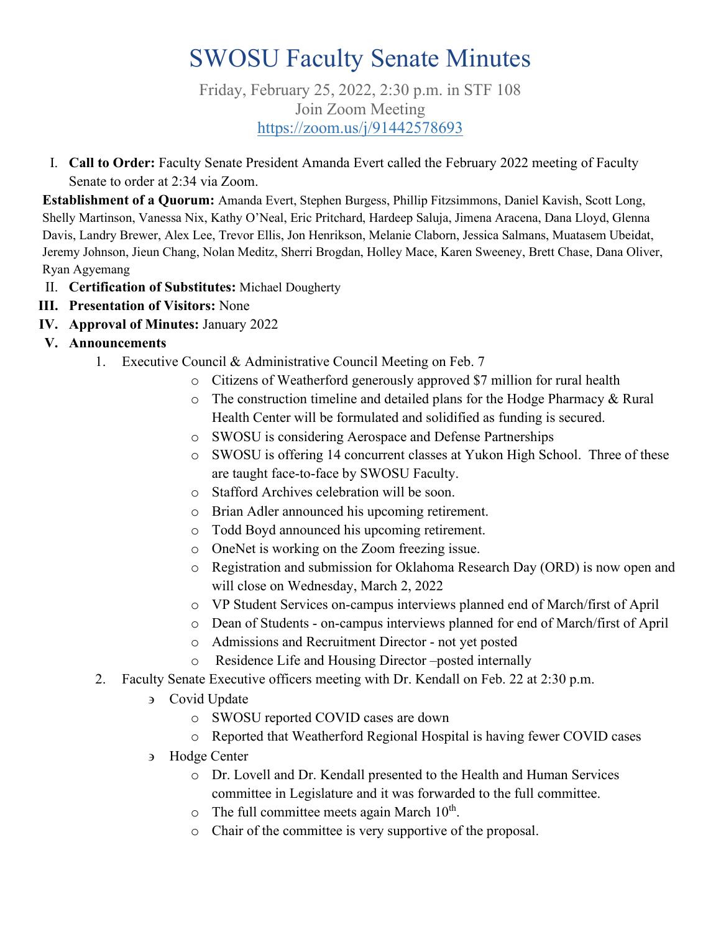# SWOSU Faculty Senate Minutes

Friday, February 25, 2022, 2:30 p.m. in STF 108 Join Zoom Meeting <https://zoom.us/j/91442578693>

I. **Call to Order:** Faculty Senate President Amanda Evert called the February 2022 meeting of Faculty Senate to order at 2:34 via Zoom.

**Establishment of a Quorum:** Amanda Evert, Stephen Burgess, Phillip Fitzsimmons, Daniel Kavish, Scott Long, Shelly Martinson, Vanessa Nix, Kathy O'Neal, Eric Pritchard, Hardeep Saluja, Jimena Aracena, Dana Lloyd, Glenna Davis, Landry Brewer, Alex Lee, Trevor Ellis, Jon Henrikson, Melanie Claborn, Jessica Salmans, Muatasem Ubeidat, Jeremy Johnson, Jieun Chang, Nolan Meditz, Sherri Brogdan, Holley Mace, Karen Sweeney, Brett Chase, Dana Oliver, Ryan Agyemang

- II. **Certification of Substitutes:** Michael Dougherty
- **III. Presentation of Visitors:** None
- **IV. Approval of Minutes:** January 2022
- **V. Announcements**
	- 1. Executive Council & Administrative Council Meeting on Feb. 7
		- o Citizens of Weatherford generously approved \$7 million for rural health
		- o The construction timeline and detailed plans for the Hodge Pharmacy & Rural Health Center will be formulated and solidified as funding is secured.
		- o SWOSU is considering Aerospace and Defense Partnerships
		- o SWOSU is offering 14 concurrent classes at Yukon High School. Three of these are taught face-to-face by SWOSU Faculty.
		- o Stafford Archives celebration will be soon.
		- o Brian Adler announced his upcoming retirement.
		- o Todd Boyd announced his upcoming retirement.
		- o OneNet is working on the Zoom freezing issue.
		- o Registration and submission for Oklahoma Research Day (ORD) is now open and will close on Wednesday, March 2, 2022
		- o VP Student Services on-campus interviews planned end of March/first of April
		- o Dean of Students on-campus interviews planned for end of March/first of April
		- o Admissions and Recruitment Director not yet posted
		- o Residence Life and Housing Director –posted internally
	- 2. Faculty Senate Executive officers meeting with Dr. Kendall on Feb. 22 at 2:30 p.m.
		- ∋ Covid Update
			- o SWOSU reported COVID cases are down
			- o Reported that Weatherford Regional Hospital is having fewer COVID cases
		- ∋ Hodge Center
			- o Dr. Lovell and Dr. Kendall presented to the Health and Human Services committee in Legislature and it was forwarded to the full committee.
			- $\circ$  The full committee meets again March 10<sup>th</sup>.
			- o Chair of the committee is very supportive of the proposal.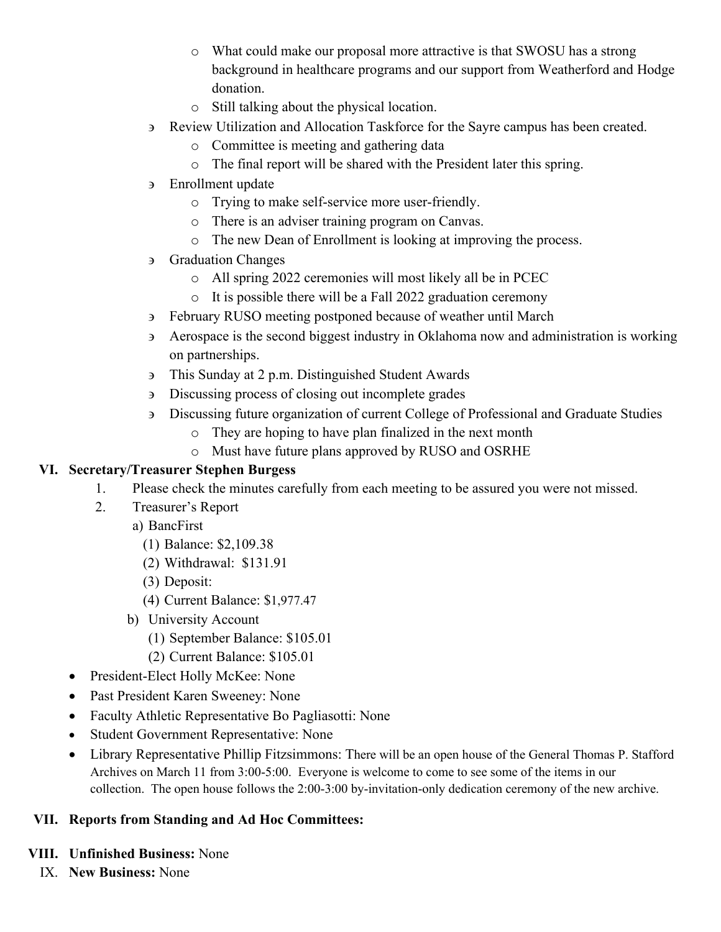- o What could make our proposal more attractive is that SWOSU has a strong background in healthcare programs and our support from Weatherford and Hodge donation.
- o Still talking about the physical location.
- ∋ Review Utilization and Allocation Taskforce for the Sayre campus has been created.
	- o Committee is meeting and gathering data
	- o The final report will be shared with the President later this spring.
- ∋ Enrollment update
	- o Trying to make self-service more user-friendly.
	- o There is an adviser training program on Canvas.
	- o The new Dean of Enrollment is looking at improving the process.
- ∋ Graduation Changes
	- o All spring 2022 ceremonies will most likely all be in PCEC
	- o It is possible there will be a Fall 2022 graduation ceremony
- ∋ February RUSO meeting postponed because of weather until March
- ∋ Aerospace is the second biggest industry in Oklahoma now and administration is working on partnerships.
- ∋ This Sunday at 2 p.m. Distinguished Student Awards
- ∋ Discussing process of closing out incomplete grades
- ∋ Discussing future organization of current College of Professional and Graduate Studies
	- o They are hoping to have plan finalized in the next month
	- o Must have future plans approved by RUSO and OSRHE

#### **VI. Secretary/Treasurer Stephen Burgess**

- 1. Please check the minutes carefully from each meeting to be assured you were not missed.
- 2. Treasurer's Report
	- a) BancFirst
		- (1) Balance: \$2,109.38
		- (2) Withdrawal: \$131.91
		- (3) Deposit:
		- (4) Current Balance: \$1,977.47
	- b) University Account
		- (1) September Balance: \$105.01
		- (2) Current Balance: \$105.01
- President-Elect Holly McKee: None
- Past President Karen Sweeney: None
- Faculty Athletic Representative Bo Pagliasotti: None
- Student Government Representative: None
- Library Representative Phillip Fitzsimmons: There will be an open house of the General Thomas P. Stafford Archives on March 11 from 3:00-5:00. Everyone is welcome to come to see some of the items in our collection. The open house follows the 2:00-3:00 by-invitation-only dedication ceremony of the new archive.

### **VII. Reports from Standing and Ad Hoc Committees:**

#### **VIII. Unfinished Business:** None

IX. **New Business:** None